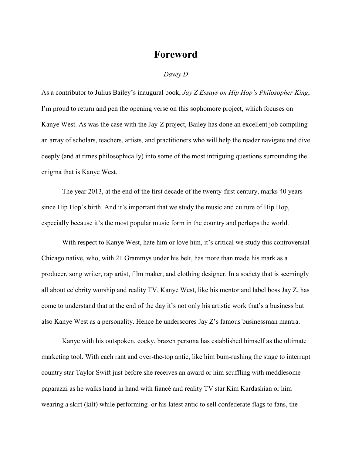## **Foreword**

## *Davey D*

As a contributor to Julius Bailey's inaugural book, *Jay Z Essays on Hip Hop's Philosopher King*, I'm proud to return and pen the opening verse on this sophomore project, which focuses on Kanye West. As was the case with the Jay-Z project, Bailey has done an excellent job compiling an array of scholars, teachers, artists, and practitioners who will help the reader navigate and dive deeply (and at times philosophically) into some of the most intriguing questions surrounding the enigma that is Kanye West.

The year 2013, at the end of the first decade of the twenty-first century, marks 40 years since Hip Hop's birth. And it's important that we study the music and culture of Hip Hop, especially because it's the most popular music form in the country and perhaps the world.

With respect to Kanye West, hate him or love him, it's critical we study this controversial Chicago native, who, with 21 Grammys under his belt, has more than made his mark as a producer, song writer, rap artist, film maker, and clothing designer. In a society that is seemingly all about celebrity worship and reality TV, Kanye West, like his mentor and label boss Jay Z, has come to understand that at the end of the day it's not only his artistic work that's a business but also Kanye West as a personality. Hence he underscores Jay Z's famous businessman mantra.

Kanye with his outspoken, cocky, brazen persona has established himself as the ultimate marketing tool. With each rant and over-the-top antic, like him bum-rushing the stage to interrupt country star Taylor Swift just before she receives an award or him scuffling with meddlesome paparazzi as he walks hand in hand with fiancé and reality TV star Kim Kardashian or him wearing a skirt (kilt) while performing or his latest antic to sell confederate flags to fans, the